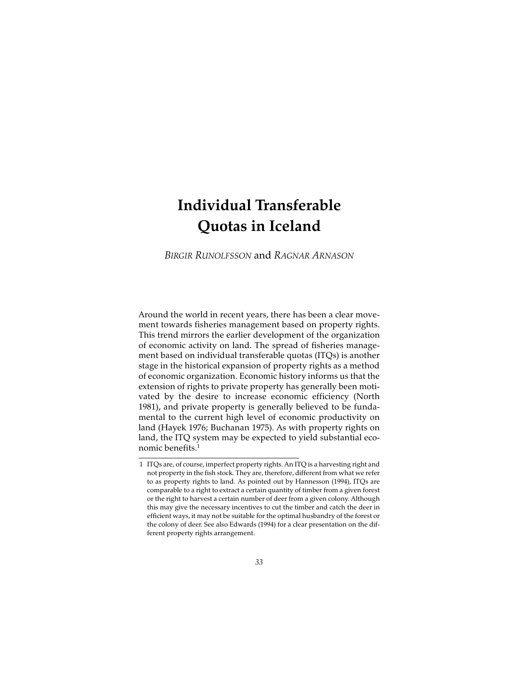# **Individual Transferable Quotas in Iceland**

*BIRGIR RUNOLFSSON* and *RAGNAR ARNASON*

Around the world in recent years, there has been a clear movement towards fisheries management based on property rights. This trend mirrors the earlier development of the organization of economic activity on land. The spread of fisheries management based on individual transferable quotas (ITQs) is another stage in the historical expansion of property rights as a method of economic organization. Economic history informs us that the extension of rights to private property has generally been motivated by the desire to increase economic efficiency (North 1981), and private property is generally believed to be fundamental to the current high level of economic productivity on land (Hayek 1976; Buchanan 1975). As with property rights on land, the ITQ system may be expected to yield substantial economic benefits.1

<sup>1</sup> ITQs are, of course, imperfect property rights. An ITQ is a harvesting right and not property in the fish stock. They are, therefore, different from what we refer to as property rights to land. As pointed out by Hannesson (1994), ITQs are comparable to a right to extract a certain quantity of timber from a given forest or the right to harvest a certain number of deer from a given colony. Although this may give the necessary incentives to cut the timber and catch the deer in efficient ways, it may not be suitable for the optimal husbandry of the forest or the colony of deer. See also Edwards (1994) for a clear presentation on the different property rights arrangement.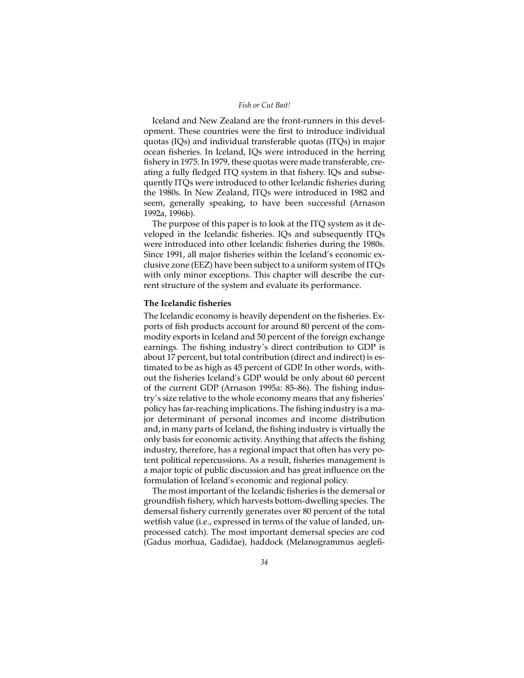Iceland and New Zealand are the front-runners in this development. These countries were the first to introduce individual quotas (IQs) and individual transferable quotas (ITQs) in major ocean fisheries. In Iceland, IQs were introduced in the herring fishery in 1975. In 1979, these quotas were made transferable, creating a fully fledged ITQ system in that fishery. IQs and subsequently ITQs were introduced to other Icelandic fisheries during the 1980s. In New Zealand, ITQs were introduced in 1982 and seem, generally speaking, to have been successful (Arnason 1992a, 1996b).

The purpose of this paper is to look at the ITQ system as it developed in the Icelandic fisheries. IQs and subsequently ITQs were introduced into other Icelandic fisheries during the 1980s. Since 1991, all major fisheries within the Iceland's economic exclusive zone (EEZ) have been subject to a uniform system of ITQs with only minor exceptions. This chapter will describe the current structure of the system and evaluate its performance.

#### **The Icelandic fisheries**

The Icelandic economy is heavily dependent on the fisheries. Exports of fish products account for around 80 percent of the commodity exports in Iceland and 50 percent of the foreign exchange earnings. The fishing industry's direct contribution to GDP is about 17 percent, but total contribution (direct and indirect) is estimated to be as high as 45 percent of GDP. In other words, without the fisheries Iceland's GDP would be only about 60 percent of the current GDP (Arnason 1995a: 85–86). The fishing industry's size relative to the whole economy means that any fisheries' policy has far-reaching implications. The fishing industry is a major determinant of personal incomes and income distribution and, in many parts of Iceland, the fishing industry is virtually the only basis for economic activity. Anything that affects the fishing industry, therefore, has a regional impact that often has very potent political repercussions. As a result, fisheries management is a major topic of public discussion and has great influence on the formulation of Iceland's economic and regional policy.

The most important of the Icelandic fisheries is the demersal or groundfish fishery, which harvests bottom-dwelling species. The demersal fishery currently generates over 80 percent of the total wetfish value (i.e., expressed in terms of the value of landed, unprocessed catch). The most important demersal species are cod (Gadus morhua, Gadidae), haddock (Melanogrammus aeglefi-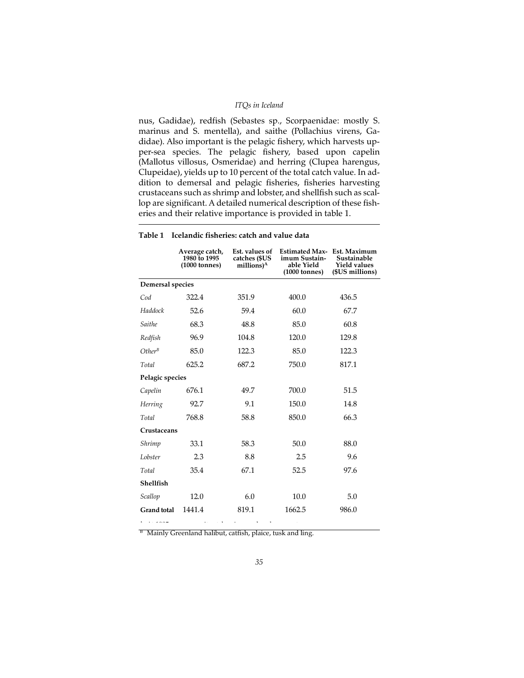## *ITQs in Iceland*

nus, Gadidae), redfish (Sebastes sp., Scorpaenidae: mostly S. marinus and S. mentella), and saithe (Pollachius virens, Gadidae). Also important is the pelagic fishery, which harvests upper-sea species. The pelagic fishery, based upon capelin (Mallotus villosus, Osmeridae) and herring (Clupea harengus, Clupeidae), yields up to 10 percent of the total catch value. In addition to demersal and pelagic fisheries, fisheries harvesting crustaceans such as shrimp and lobster, and shellfish such as scallop are significant. A detailed numerical description of these fisheries and their relative importance is provided in table 1.

|                         | Average catch,<br>1980 to 1995<br>$(1000$ tonnes) | Est. values of<br>catches (\$US<br>millions) <sup>A</sup> | <b>Estimated Max-</b><br>imum Sustain-<br>able Yield<br>$(1000 \text{ tonnes})$ | Est. Maximum<br>Sustainable<br><b>Yield values</b><br>(\$US millions) |
|-------------------------|---------------------------------------------------|-----------------------------------------------------------|---------------------------------------------------------------------------------|-----------------------------------------------------------------------|
| <b>Demersal species</b> |                                                   |                                                           |                                                                                 |                                                                       |
| Cod                     | 322.4                                             | 351.9                                                     | 400.0                                                                           | 436.5                                                                 |
| Haddock                 | 52.6                                              | 59.4                                                      | 60.0                                                                            | 67.7                                                                  |
| Saithe                  | 68.3                                              | 48.8                                                      | 85.0                                                                            | 60.8                                                                  |
| Redfish                 | 96.9                                              | 104.8                                                     | 120.0                                                                           | 129.8                                                                 |
| $Other^B$               | 85.0                                              | 122.3                                                     | 85.0                                                                            | 122.3                                                                 |
| Total                   | 625.2                                             | 687.2                                                     | 750.0                                                                           | 817.1                                                                 |
| Pelagic species         |                                                   |                                                           |                                                                                 |                                                                       |
| Capelin                 | 676.1                                             | 49.7                                                      | 700.0                                                                           | 51.5                                                                  |
| Herring                 | 92.7                                              | 9.1                                                       | 150.0                                                                           | 14.8                                                                  |
| Total                   | 768.8                                             | 58.8                                                      | 850.0                                                                           | 66.3                                                                  |
| Crustaceans             |                                                   |                                                           |                                                                                 |                                                                       |
| Shrimp                  | 33.1                                              | 58.3                                                      | 50.0                                                                            | 88.0                                                                  |
| Lobster                 | 2.3                                               | 8.8                                                       | 2.5                                                                             | 9.6                                                                   |
| Total                   | 35.4                                              | 67.1                                                      | 52.5                                                                            | 97.6                                                                  |
| Shellfish               |                                                   |                                                           |                                                                                 |                                                                       |
| Scallop                 | 12.0                                              | 6.0                                                       | 10.0                                                                            | 5.0                                                                   |
| <b>Grand total</b>      | 1441.4                                            | 819.1                                                     | 1662.5                                                                          | 986.0                                                                 |

#### **Table 1 Icelandic fisheries: catch and value data**

<sup>A</sup> At 1995 average unit catch prices and exchange rates.  $B$  Mainly Greenland halibut, catfish, plaice, tusk and ling.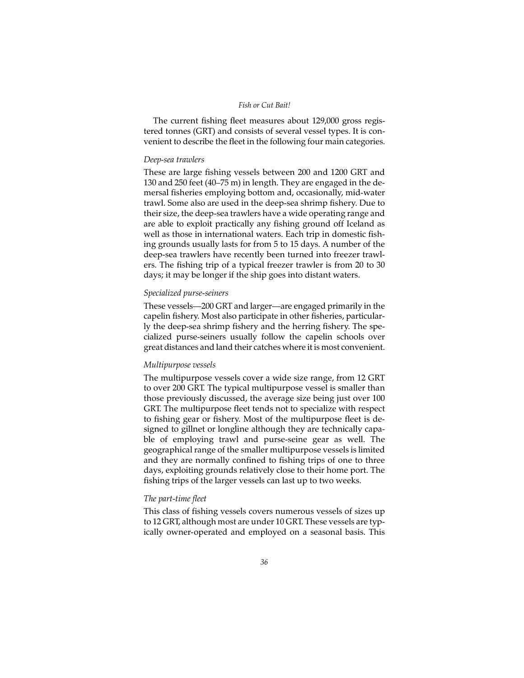The current fishing fleet measures about 129,000 gross registered tonnes (GRT) and consists of several vessel types. It is convenient to describe the fleet in the following four main categories.

## *Deep-sea trawlers*

These are large fishing vessels between 200 and 1200 GRT and 130 and 250 feet (40–75 m) in length. They are engaged in the demersal fisheries employing bottom and, occasionally, mid-water trawl. Some also are used in the deep-sea shrimp fishery. Due to their size, the deep-sea trawlers have a wide operating range and are able to exploit practically any fishing ground off Iceland as well as those in international waters. Each trip in domestic fishing grounds usually lasts for from 5 to 15 days. A number of the deep-sea trawlers have recently been turned into freezer trawlers. The fishing trip of a typical freezer trawler is from 20 to 30 days; it may be longer if the ship goes into distant waters.

# *Specialized purse-seiners*

These vessels—200 GRT and larger—are engaged primarily in the capelin fishery. Most also participate in other fisheries, particularly the deep-sea shrimp fishery and the herring fishery. The specialized purse-seiners usually follow the capelin schools over great distances and land their catches where it is most convenient.

# *Multipurpose vessels*

The multipurpose vessels cover a wide size range, from 12 GRT to over 200 GRT. The typical multipurpose vessel is smaller than those previously discussed, the average size being just over 100 GRT. The multipurpose fleet tends not to specialize with respect to fishing gear or fishery. Most of the multipurpose fleet is designed to gillnet or longline although they are technically capable of employing trawl and purse-seine gear as well. The geographical range of the smaller multipurpose vessels is limited and they are normally confined to fishing trips of one to three days, exploiting grounds relatively close to their home port. The fishing trips of the larger vessels can last up to two weeks.

# *The part-time fleet*

This class of fishing vessels covers numerous vessels of sizes up to 12 GRT, although most are under 10 GRT. These vessels are typically owner-operated and employed on a seasonal basis. This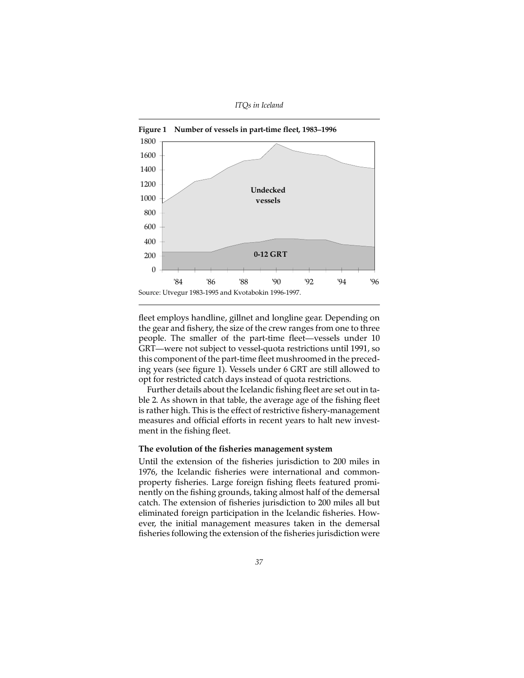*ITQs in Iceland*



fleet employs handline, gillnet and longline gear. Depending on the gear and fishery, the size of the crew ranges from one to three people. The smaller of the part-time fleet—vessels under 10 GRT—were not subject to vessel-quota restrictions until 1991, so this component of the part-time fleet mushroomed in the preceding years (see figure 1). Vessels under 6 GRT are still allowed to opt for restricted catch days instead of quota restrictions.

Further details about the Icelandic fishing fleet are set out in table 2. As shown in that table, the average age of the fishing fleet is rather high. This is the effect of restrictive fishery-management measures and official efforts in recent years to halt new investment in the fishing fleet.

## **The evolution of the fisheries management system**

Until the extension of the fisheries jurisdiction to 200 miles in 1976, the Icelandic fisheries were international and commonproperty fisheries. Large foreign fishing fleets featured prominently on the fishing grounds, taking almost half of the demersal catch. The extension of fisheries jurisdiction to 200 miles all but eliminated foreign participation in the Icelandic fisheries. However, the initial management measures taken in the demersal fisheries following the extension of the fisheries jurisdiction were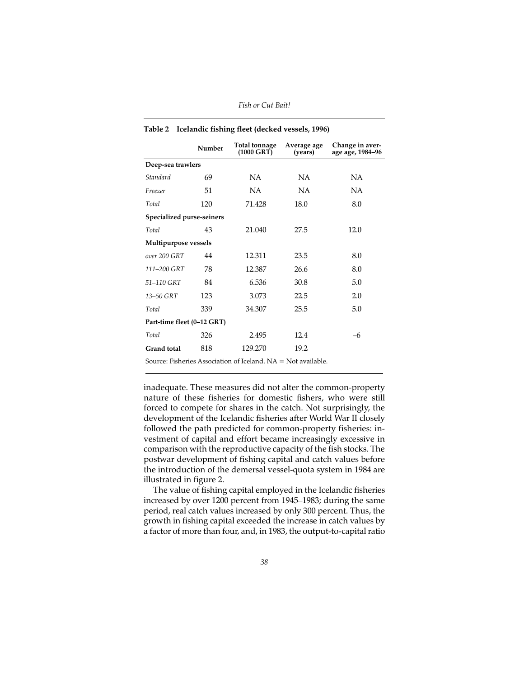|                            | Number | Total tonnage<br>$(1000 \text{ GRT})$ | Average age<br>(years) | Change in aver-<br>age age, 1984-96 |  |  |  |
|----------------------------|--------|---------------------------------------|------------------------|-------------------------------------|--|--|--|
| Deep-sea trawlers          |        |                                       |                        |                                     |  |  |  |
| Standard                   | 69     | NA.                                   | NA.                    | NA                                  |  |  |  |
| Freezer                    | 51     | NA                                    | <b>NA</b>              | NA.                                 |  |  |  |
| Total                      | 120    | 71.428                                | 18.0                   | 8.0                                 |  |  |  |
| Specialized purse-seiners  |        |                                       |                        |                                     |  |  |  |
| Total                      | 43     | 21.040                                | 27.5                   | 12.0                                |  |  |  |
| Multipurpose vessels       |        |                                       |                        |                                     |  |  |  |
| over 200 GRT               | 44     | 12.311                                | 23.5                   | 8.0                                 |  |  |  |
| 111-200 GRT                | 78     | 12.387                                | 26.6                   | 8.0                                 |  |  |  |
| 51-110 GRT                 | 84     | 6.536                                 | 30.8                   | 5.0                                 |  |  |  |
| 13-50 GRT                  | 123    | 3.073                                 | 22.5                   | 2.0                                 |  |  |  |
| Total                      | 339    | 34.307                                | 25.5                   | 5.0                                 |  |  |  |
| Part-time fleet (0–12 GRT) |        |                                       |                        |                                     |  |  |  |
| Total                      | 326    | 2.495                                 | 12.4                   | -6                                  |  |  |  |
| Grand total                | 818    | 129.270                               | 19.2                   |                                     |  |  |  |
|                            |        |                                       |                        |                                     |  |  |  |

| Table 2 Icelandic fishing fleet (decked vessels, 1996) |  |  |  |
|--------------------------------------------------------|--|--|--|
|                                                        |  |  |  |

Source: Fisheries Association of Iceland. NA = Not available.

inadequate. These measures did not alter the common-property nature of these fisheries for domestic fishers, who were still forced to compete for shares in the catch. Not surprisingly, the development of the Icelandic fisheries after World War II closely followed the path predicted for common-property fisheries: investment of capital and effort became increasingly excessive in comparison with the reproductive capacity of the fish stocks. The postwar development of fishing capital and catch values before the introduction of the demersal vessel-quota system in 1984 are illustrated in figure 2.

The value of fishing capital employed in the Icelandic fisheries increased by over 1200 percent from 1945–1983; during the same period, real catch values increased by only 300 percent. Thus, the growth in fishing capital exceeded the increase in catch values by a factor of more than four, and, in 1983, the output-to-capital ratio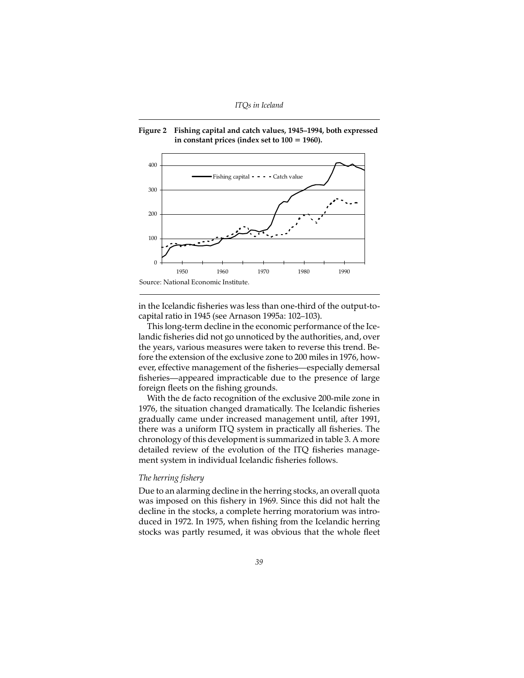



in the Icelandic fisheries was less than one-third of the output-tocapital ratio in 1945 (see Arnason 1995a: 102–103).

This long-term decline in the economic performance of the Icelandic fisheries did not go unnoticed by the authorities, and, over the years, various measures were taken to reverse this trend. Before the extension of the exclusive zone to 200 miles in 1976, however, effective management of the fisheries—especially demersal fisheries—appeared impracticable due to the presence of large foreign fleets on the fishing grounds.

With the de facto recognition of the exclusive 200-mile zone in 1976, the situation changed dramatically. The Icelandic fisheries gradually came under increased management until, after 1991, there was a uniform ITQ system in practically all fisheries. The chronology of this development is summarized in table 3. A more detailed review of the evolution of the ITQ fisheries management system in individual Icelandic fisheries follows.

#### *The herring fishery*

Due to an alarming decline in the herring stocks, an overall quota was imposed on this fishery in 1969. Since this did not halt the decline in the stocks, a complete herring moratorium was introduced in 1972. In 1975, when fishing from the Icelandic herring stocks was partly resumed, it was obvious that the whole fleet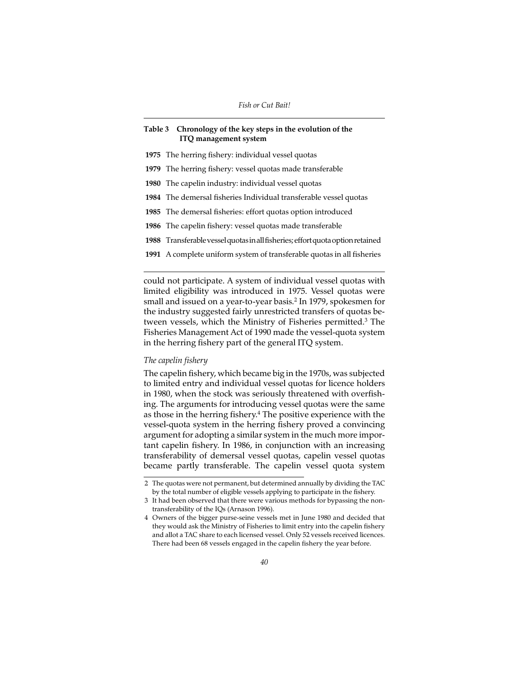## **Table 3 Chronology of the key steps in the evolution of the ITQ management system**

- **1975** The herring fishery: individual vessel quotas
- **1979** The herring fishery: vessel quotas made transferable
- **1980** The capelin industry: individual vessel quotas
- **1984** The demersal fisheries Individual transferable vessel quotas
- **1985** The demersal fisheries: effort quotas option introduced
- **1986** The capelin fishery: vessel quotas made transferable
- **1988** Transferable vessel quotas in all fisheries; effort quota option retained
- **1991** A complete uniform system of transferable quotas in all fisheries

could not participate. A system of individual vessel quotas with limited eligibility was introduced in 1975. Vessel quotas were small and issued on a year-to-year basis.<sup>2</sup> In 1979, spokesmen for the industry suggested fairly unrestricted transfers of quotas between vessels, which the Ministry of Fisheries permitted.<sup>3</sup> The Fisheries Management Act of 1990 made the vessel-quota system in the herring fishery part of the general ITQ system.

# *The capelin fishery*

The capelin fishery, which became big in the 1970s, was subjected to limited entry and individual vessel quotas for licence holders in 1980, when the stock was seriously threatened with overfishing. The arguments for introducing vessel quotas were the same as those in the herring fishery.4 The positive experience with the vessel-quota system in the herring fishery proved a convincing argument for adopting a similar system in the much more important capelin fishery. In 1986, in conjunction with an increasing transferability of demersal vessel quotas, capelin vessel quotas became partly transferable. The capelin vessel quota system

<sup>2</sup> The quotas were not permanent, but determined annually by dividing the TAC by the total number of eligible vessels applying to participate in the fishery.

<sup>3</sup> It had been observed that there were various methods for bypassing the nontransferability of the IQs (Arnason 1996).

<sup>4</sup> Owners of the bigger purse-seine vessels met in June 1980 and decided that they would ask the Ministry of Fisheries to limit entry into the capelin fishery and allot a TAC share to each licensed vessel. Only 52 vessels received licences. There had been 68 vessels engaged in the capelin fishery the year before.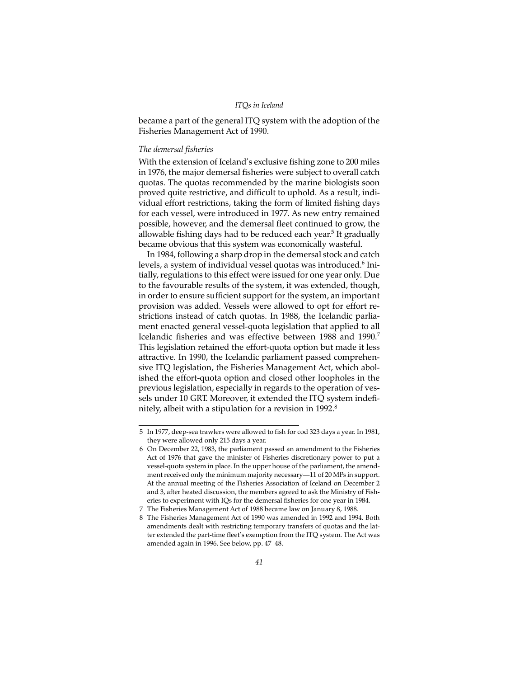#### *ITQs in Iceland*

became a part of the general ITQ system with the adoption of the Fisheries Management Act of 1990.

#### *The demersal fisheries*

With the extension of Iceland's exclusive fishing zone to 200 miles in 1976, the major demersal fisheries were subject to overall catch quotas. The quotas recommended by the marine biologists soon proved quite restrictive, and difficult to uphold. As a result, individual effort restrictions, taking the form of limited fishing days for each vessel, were introduced in 1977. As new entry remained possible, however, and the demersal fleet continued to grow, the allowable fishing days had to be reduced each year.<sup>5</sup> It gradually became obvious that this system was economically wasteful.

In 1984, following a sharp drop in the demersal stock and catch levels, a system of individual vessel quotas was introduced.<sup>6</sup> Initially, regulations to this effect were issued for one year only. Due to the favourable results of the system, it was extended, though, in order to ensure sufficient support for the system, an important provision was added. Vessels were allowed to opt for effort restrictions instead of catch quotas. In 1988, the Icelandic parliament enacted general vessel-quota legislation that applied to all Icelandic fisheries and was effective between 1988 and 1990.7 This legislation retained the effort-quota option but made it less attractive. In 1990, the Icelandic parliament passed comprehensive ITQ legislation, the Fisheries Management Act, which abolished the effort-quota option and closed other loopholes in the previous legislation, especially in regards to the operation of vessels under 10 GRT. Moreover, it extended the ITQ system indefinitely, albeit with a stipulation for a revision in 1992.8

<sup>5</sup> In 1977, deep-sea trawlers were allowed to fish for cod 323 days a year. In 1981, they were allowed only 215 days a year.

<sup>6</sup> On December 22, 1983, the parliament passed an amendment to the Fisheries Act of 1976 that gave the minister of Fisheries discretionary power to put a vessel-quota system in place. In the upper house of the parliament, the amendment received only the minimum majority necessary—11 of 20 MPs in support. At the annual meeting of the Fisheries Association of Iceland on December 2 and 3, after heated discussion, the members agreed to ask the Ministry of Fisheries to experiment with IQs for the demersal fisheries for one year in 1984.

<sup>7</sup> The Fisheries Management Act of 1988 became law on January 8, 1988.

<sup>8</sup> The Fisheries Management Act of 1990 was amended in 1992 and 1994. Both amendments dealt with restricting temporary transfers of quotas and the latter extended the part-time fleet's exemption from the ITQ system. The Act was amended again in 1996. See below, pp. 47–48.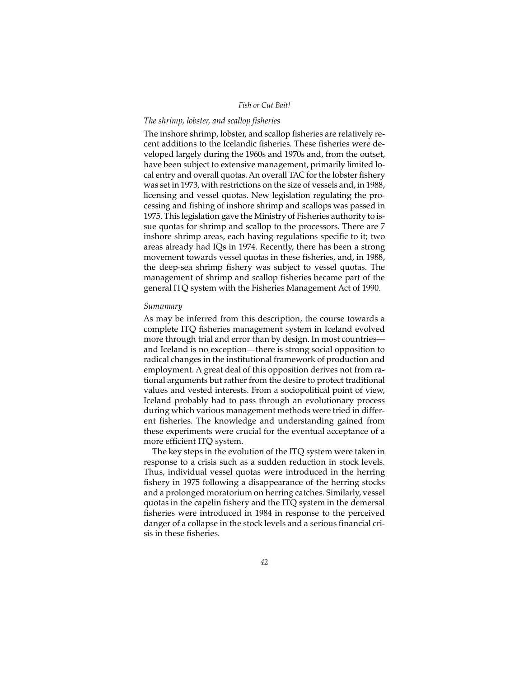## *The shrimp, lobster, and scallop fisheries*

The inshore shrimp, lobster, and scallop fisheries are relatively recent additions to the Icelandic fisheries. These fisheries were developed largely during the 1960s and 1970s and, from the outset, have been subject to extensive management, primarily limited local entry and overall quotas. An overall TAC for the lobster fishery was set in 1973, with restrictions on the size of vessels and, in 1988, licensing and vessel quotas. New legislation regulating the processing and fishing of inshore shrimp and scallops was passed in 1975. This legislation gave the Ministry of Fisheries authority to issue quotas for shrimp and scallop to the processors. There are 7 inshore shrimp areas, each having regulations specific to it; two areas already had IQs in 1974. Recently, there has been a strong movement towards vessel quotas in these fisheries, and, in 1988, the deep-sea shrimp fishery was subject to vessel quotas. The management of shrimp and scallop fisheries became part of the general ITQ system with the Fisheries Management Act of 1990.

## *Sumumary*

As may be inferred from this description, the course towards a complete ITQ fisheries management system in Iceland evolved more through trial and error than by design. In most countries and Iceland is no exception—there is strong social opposition to radical changes in the institutional framework of production and employment. A great deal of this opposition derives not from rational arguments but rather from the desire to protect traditional values and vested interests. From a sociopolitical point of view, Iceland probably had to pass through an evolutionary process during which various management methods were tried in different fisheries. The knowledge and understanding gained from these experiments were crucial for the eventual acceptance of a more efficient ITQ system.

The key steps in the evolution of the ITQ system were taken in response to a crisis such as a sudden reduction in stock levels. Thus, individual vessel quotas were introduced in the herring fishery in 1975 following a disappearance of the herring stocks and a prolonged moratorium on herring catches. Similarly, vessel quotas in the capelin fishery and the ITQ system in the demersal fisheries were introduced in 1984 in response to the perceived danger of a collapse in the stock levels and a serious financial crisis in these fisheries.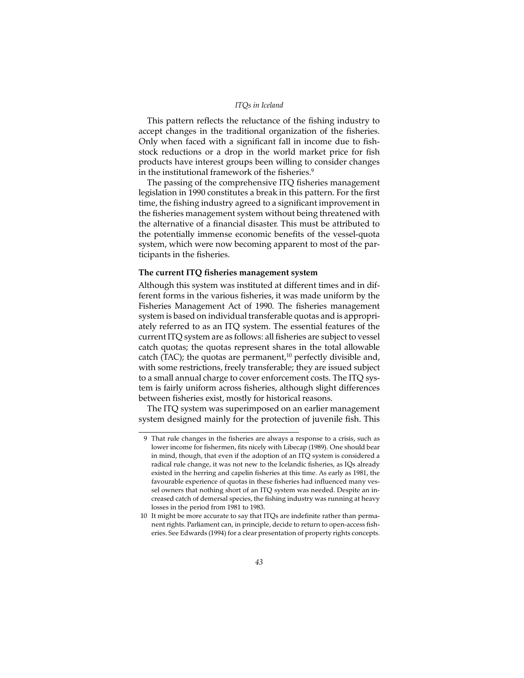#### *ITQs in Iceland*

This pattern reflects the reluctance of the fishing industry to accept changes in the traditional organization of the fisheries. Only when faced with a significant fall in income due to fishstock reductions or a drop in the world market price for fish products have interest groups been willing to consider changes in the institutional framework of the fisheries.<sup>9</sup>

The passing of the comprehensive ITQ fisheries management legislation in 1990 constitutes a break in this pattern. For the first time, the fishing industry agreed to a significant improvement in the fisheries management system without being threatened with the alternative of a financial disaster. This must be attributed to the potentially immense economic benefits of the vessel-quota system, which were now becoming apparent to most of the participants in the fisheries.

## **The current ITQ fisheries management system**

Although this system was instituted at different times and in different forms in the various fisheries, it was made uniform by the Fisheries Management Act of 1990. The fisheries management system is based on individual transferable quotas and is appropriately referred to as an ITQ system. The essential features of the current ITQ system are as follows: all fisheries are subject to vessel catch quotas; the quotas represent shares in the total allowable catch (TAC); the quotas are permanent,<sup>10</sup> perfectly divisible and, with some restrictions, freely transferable; they are issued subject to a small annual charge to cover enforcement costs. The ITQ system is fairly uniform across fisheries, although slight differences between fisheries exist, mostly for historical reasons.

The ITQ system was superimposed on an earlier management system designed mainly for the protection of juvenile fish. This

<sup>9</sup> That rule changes in the fisheries are always a response to a crisis, such as lower income for fishermen, fits nicely with Libecap (1989). One should bear in mind, though, that even if the adoption of an ITQ system is considered a radical rule change, it was not new to the Icelandic fisheries, as IQs already existed in the herring and capelin fisheries at this time. As early as 1981, the favourable experience of quotas in these fisheries had influenced many vessel owners that nothing short of an ITQ system was needed. Despite an increased catch of demersal species, the fishing industry was running at heavy losses in the period from 1981 to 1983.

<sup>10</sup> It might be more accurate to say that ITQs are indefinite rather than permanent rights. Parliament can, in principle, decide to return to open-access fisheries. See Edwards (1994) for a clear presentation of property rights concepts.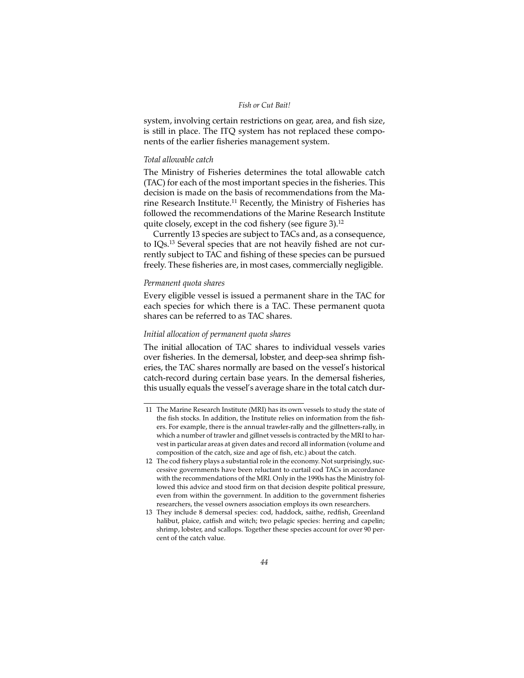system, involving certain restrictions on gear, area, and fish size, is still in place. The ITQ system has not replaced these components of the earlier fisheries management system.

## *Total allowable catch*

The Ministry of Fisheries determines the total allowable catch (TAC) for each of the most important species in the fisheries. This decision is made on the basis of recommendations from the Marine Research Institute.<sup>11</sup> Recently, the Ministry of Fisheries has followed the recommendations of the Marine Research Institute quite closely, except in the cod fishery (see figure 3).<sup>12</sup>

Currently 13 species are subject to TACs and, as a consequence, to IQs.13 Several species that are not heavily fished are not currently subject to TAC and fishing of these species can be pursued freely. These fisheries are, in most cases, commercially negligible.

#### *Permanent quota shares*

Every eligible vessel is issued a permanent share in the TAC for each species for which there is a TAC. These permanent quota shares can be referred to as TAC shares.

## *Initial allocation of permanent quota shares*

The initial allocation of TAC shares to individual vessels varies over fisheries. In the demersal, lobster, and deep-sea shrimp fisheries, the TAC shares normally are based on the vessel's historical catch-record during certain base years. In the demersal fisheries, this usually equals the vessel's average share in the total catch dur-

<sup>11</sup> The Marine Research Institute (MRI) has its own vessels to study the state of the fish stocks. In addition, the Institute relies on information from the fishers. For example, there is the annual trawler-rally and the gillnetters-rally, in which a number of trawler and gillnet vessels is contracted by the MRI to harvest in particular areas at given dates and record all information (volume and composition of the catch, size and age of fish, etc.) about the catch.

<sup>12</sup> The cod fishery plays a substantial role in the economy. Not surprisingly, successive governments have been reluctant to curtail cod TACs in accordance with the recommendations of the MRI. Only in the 1990s has the Ministry followed this advice and stood firm on that decision despite political pressure, even from within the government. In addition to the government fisheries researchers, the vessel owners association employs its own researchers.

<sup>13</sup> They include 8 demersal species: cod, haddock, saithe, redfish, Greenland halibut, plaice, catfish and witch; two pelagic species: herring and capelin; shrimp, lobster, and scallops. Together these species account for over 90 percent of the catch value.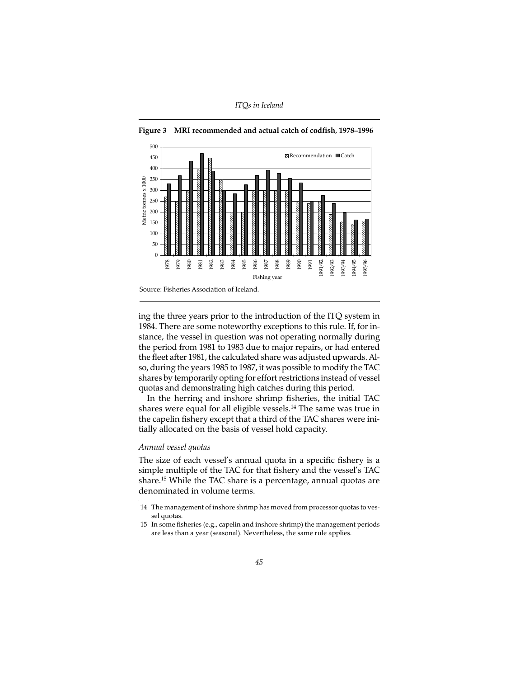

**Figure 3 MRI recommended and actual catch of codfish, 1978–1996**

ing the three years prior to the introduction of the ITQ system in 1984. There are some noteworthy exceptions to this rule. If, for instance, the vessel in question was not operating normally during the period from 1981 to 1983 due to major repairs, or had entered the fleet after 1981, the calculated share was adjusted upwards. Also, during the years 1985 to 1987, it was possible to modify the TAC shares by temporarily opting for effort restrictions instead of vessel quotas and demonstrating high catches during this period.

In the herring and inshore shrimp fisheries, the initial TAC shares were equal for all eligible vessels.14 The same was true in the capelin fishery except that a third of the TAC shares were initially allocated on the basis of vessel hold capacity.

## *Annual vessel quotas*

The size of each vessel's annual quota in a specific fishery is a simple multiple of the TAC for that fishery and the vessel's TAC share.15 While the TAC share is a percentage, annual quotas are denominated in volume terms.

<sup>14</sup> The management of inshore shrimp has moved from processor quotas to vessel quotas.

<sup>15</sup> In some fisheries (e.g., capelin and inshore shrimp) the management periods are less than a year (seasonal). Nevertheless, the same rule applies.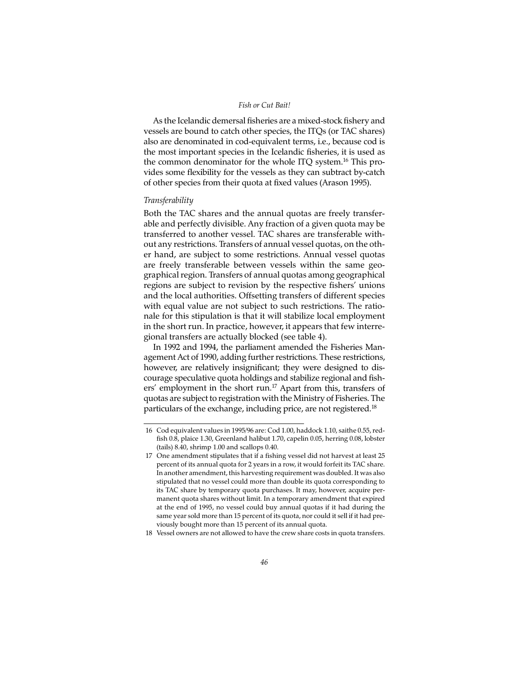As the Icelandic demersal fisheries are a mixed-stock fishery and vessels are bound to catch other species, the ITQs (or TAC shares) also are denominated in cod-equivalent terms, i.e., because cod is the most important species in the Icelandic fisheries, it is used as the common denominator for the whole ITQ system.16 This provides some flexibility for the vessels as they can subtract by-catch of other species from their quota at fixed values (Arason 1995).

#### *Transferability*

Both the TAC shares and the annual quotas are freely transferable and perfectly divisible. Any fraction of a given quota may be transferred to another vessel. TAC shares are transferable without any restrictions. Transfers of annual vessel quotas, on the other hand, are subject to some restrictions. Annual vessel quotas are freely transferable between vessels within the same geographical region. Transfers of annual quotas among geographical regions are subject to revision by the respective fishers' unions and the local authorities. Offsetting transfers of different species with equal value are not subject to such restrictions. The rationale for this stipulation is that it will stabilize local employment in the short run. In practice, however, it appears that few interregional transfers are actually blocked (see table 4).

In 1992 and 1994, the parliament amended the Fisheries Management Act of 1990, adding further restrictions. These restrictions, however, are relatively insignificant; they were designed to discourage speculative quota holdings and stabilize regional and fishers' employment in the short run.17 Apart from this, transfers of quotas are subject to registration with the Ministry of Fisheries. The particulars of the exchange, including price, are not registered.<sup>18</sup>

18 Vessel owners are not allowed to have the crew share costs in quota transfers.

<sup>16</sup> Cod equivalent values in 1995/96 are: Cod 1.00, haddock 1.10, saithe 0.55, redfish 0.8, plaice 1.30, Greenland halibut 1.70, capelin 0.05, herring 0.08, lobster (tails) 8.40, shrimp 1.00 and scallops 0.40.

<sup>17</sup> One amendment stipulates that if a fishing vessel did not harvest at least 25 percent of its annual quota for 2 years in a row, it would forfeit its TAC share. In another amendment, this harvesting requirement was doubled. It was also stipulated that no vessel could more than double its quota corresponding to its TAC share by temporary quota purchases. It may, however, acquire permanent quota shares without limit. In a temporary amendment that expired at the end of 1995, no vessel could buy annual quotas if it had during the same year sold more than 15 percent of its quota, nor could it sell if it had previously bought more than 15 percent of its annual quota.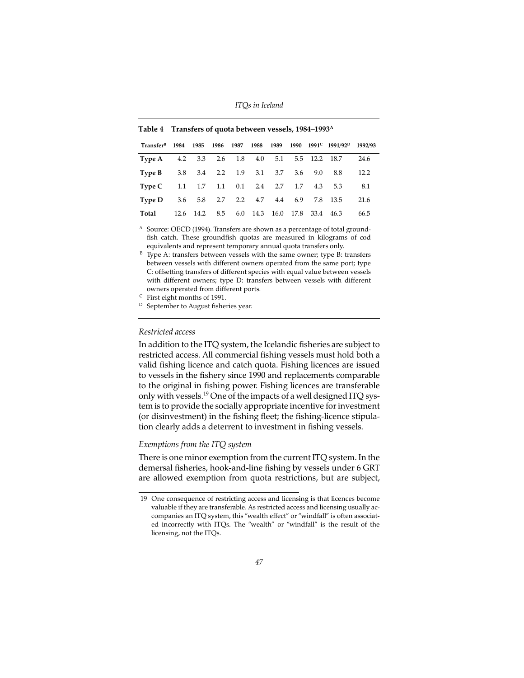| Transfer <sup>B</sup> 1984 1985 1986 1987 1988 1989 1990 1991 <sup>C</sup> 1991/92 <sup>D</sup> 1992/93 |  |  |                                            |  |                                      |      |
|---------------------------------------------------------------------------------------------------------|--|--|--------------------------------------------|--|--------------------------------------|------|
| Type A 4.2 3.3 2.6 1.8 4.0 5.1 5.5 12.2 18.7                                                            |  |  |                                            |  |                                      | 24.6 |
| <b>Type B</b> 3.8 3.4 2.2 1.9 3.1 3.7 3.6 9.0 8.8                                                       |  |  |                                            |  |                                      | 12.2 |
| Type C 1.1 1.7 1.1 0.1 2.4 2.7 1.7 4.3 5.3                                                              |  |  |                                            |  |                                      | 8.1  |
| Type D                                                                                                  |  |  |                                            |  | 3.6 5.8 2.7 2.2 4.7 4.4 6.9 7.8 13.5 | 21.6 |
| Total                                                                                                   |  |  | 12.6 14.2 8.5 6.0 14.3 16.0 17.8 33.4 46.3 |  |                                      | 66.5 |

|  | Table 4 Transfers of quota between vessels, 1984–1993 <sup>A</sup> |  |
|--|--------------------------------------------------------------------|--|
|  |                                                                    |  |

- <sup>A</sup> Source: OECD (1994). Transfers are shown as a percentage of total groundfish catch. These groundfish quotas are measured in kilograms of cod equivalents and represent temporary annual quota transfers only.
- $B$  Type A: transfers between vessels with the same owner; type B: transfers between vessels with different owners operated from the same port; type C: offsetting transfers of different species with equal value between vessels with different owners; type D: transfers between vessels with different owners operated from different ports.

<sup>C</sup> First eight months of 1991.

D September to August fisheries year.

## *Restricted access*

In addition to the ITQ system, the Icelandic fisheries are subject to restricted access. All commercial fishing vessels must hold both a valid fishing licence and catch quota. Fishing licences are issued to vessels in the fishery since 1990 and replacements comparable to the original in fishing power. Fishing licences are transferable only with vessels.19 One of the impacts of a well designed ITQ system is to provide the socially appropriate incentive for investment (or disinvestment) in the fishing fleet; the fishing-licence stipulation clearly adds a deterrent to investment in fishing vessels.

# *Exemptions from the ITQ system*

There is one minor exemption from the current ITQ system. In the demersal fisheries, hook-and-line fishing by vessels under 6 GRT are allowed exemption from quota restrictions, but are subject,

<sup>19</sup> One consequence of restricting access and licensing is that licences become valuable if they are transferable. As restricted access and licensing usually accompanies an ITQ system, this "wealth effect" or "windfall" is often associated incorrectly with ITQs. The "wealth" or "windfall" is the result of the licensing, not the ITQs.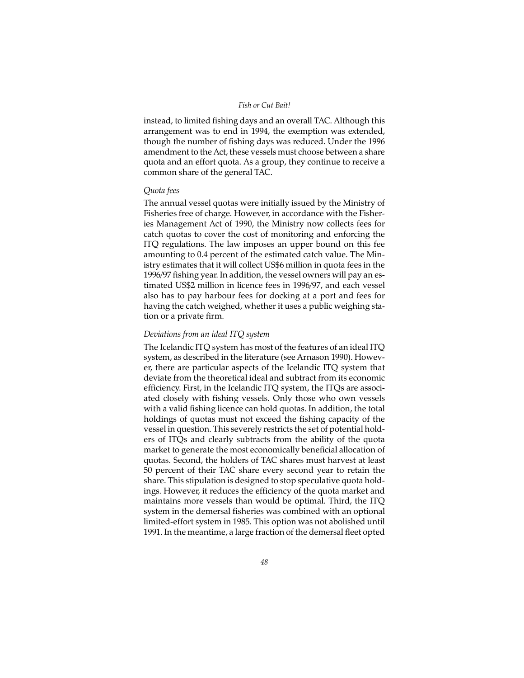instead, to limited fishing days and an overall TAC. Although this arrangement was to end in 1994, the exemption was extended, though the number of fishing days was reduced. Under the 1996 amendment to the Act, these vessels must choose between a share quota and an effort quota. As a group, they continue to receive a common share of the general TAC.

## *Quota fees*

The annual vessel quotas were initially issued by the Ministry of Fisheries free of charge. However, in accordance with the Fisheries Management Act of 1990, the Ministry now collects fees for catch quotas to cover the cost of monitoring and enforcing the ITQ regulations. The law imposes an upper bound on this fee amounting to 0.4 percent of the estimated catch value. The Ministry estimates that it will collect US\$6 million in quota fees in the 1996/97 fishing year. In addition, the vessel owners will pay an estimated US\$2 million in licence fees in 1996/97, and each vessel also has to pay harbour fees for docking at a port and fees for having the catch weighed, whether it uses a public weighing station or a private firm.

## *Deviations from an ideal ITQ system*

The Icelandic ITQ system has most of the features of an ideal ITQ system, as described in the literature (see Arnason 1990). However, there are particular aspects of the Icelandic ITQ system that deviate from the theoretical ideal and subtract from its economic efficiency. First, in the Icelandic ITQ system, the ITQs are associated closely with fishing vessels. Only those who own vessels with a valid fishing licence can hold quotas. In addition, the total holdings of quotas must not exceed the fishing capacity of the vessel in question. This severely restricts the set of potential holders of ITQs and clearly subtracts from the ability of the quota market to generate the most economically beneficial allocation of quotas. Second, the holders of TAC shares must harvest at least 50 percent of their TAC share every second year to retain the share. This stipulation is designed to stop speculative quota holdings. However, it reduces the efficiency of the quota market and maintains more vessels than would be optimal. Third, the ITQ system in the demersal fisheries was combined with an optional limited-effort system in 1985. This option was not abolished until 1991. In the meantime, a large fraction of the demersal fleet opted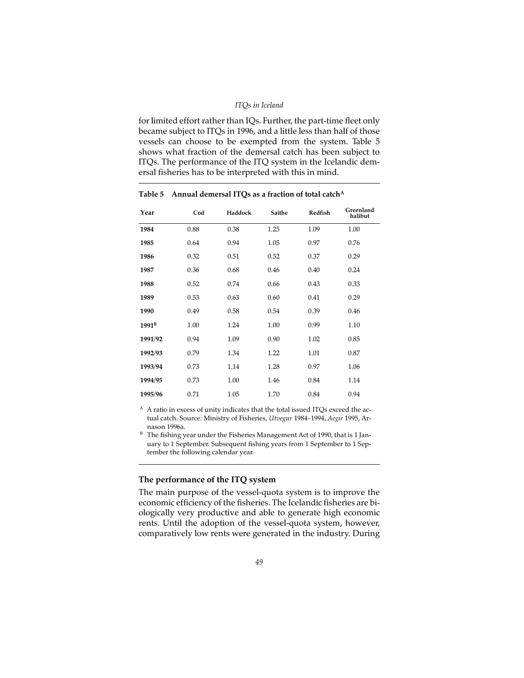#### *ITQs in Iceland*

for limited effort rather than IQs. Further, the part-time fleet only became subject to ITQs in 1996, and a little less than half of those vessels can choose to be exempted from the system. Table 5 shows what fraction of the demersal catch has been subject to ITQs. The performance of the ITQ system in the Icelandic demersal fisheries has to be interpreted with this in mind.

| Year              | Cod  | Haddock | Saithe | Redfish | Greenland<br>halibut |
|-------------------|------|---------|--------|---------|----------------------|
| 1984              | 0.88 | 0.38    | 1.25   | 1.09    | 1.00                 |
| 1985              | 0.64 | 0.94    | 1.05   | 0.97    | 0.76                 |
| 1986              | 0.32 | 0.51    | 0.52   | 0.37    | 0.29                 |
| 1987              | 0.36 | 0.68    | 0.46   | 0.40    | 0.24                 |
| 1988              | 0.52 | 0.74    | 0.66   | 0.43    | 0.33                 |
| 1989              | 0.53 | 0.63    | 0.60   | 0.41    | 0.29                 |
| 1990              | 0.49 | 0.58    | 0.54   | 0.39    | 0.46                 |
| 1991 <sup>B</sup> | 1.00 | 1.24    | 1.00   | 0.99    | 1.10                 |
| 1991/92           | 0.94 | 1.09    | 0.90   | 1.02    | 0.85                 |
| 1992/93           | 0.79 | 1.34    | 1.22   | 1.01    | 0.87                 |
| 1993/94           | 0.73 | 1.14    | 1.28   | 0.97    | 1.06                 |
| 1994/95           | 0.73 | 1.00    | 1.46   | 0.84    | 1.14                 |
| 1995/96           | 0.71 | 1.05    | 1.70   | 0.84    | 0.94                 |

## Table 5 Annual demersal ITQs as a fraction of total catch<sup>A</sup>

<sup>A</sup> A ratio in excess of unity indicates that the total issued ITQs exceed the actual catch. Source: Ministry of Fisheries, *Utvegur* 1984–1994, *Aegir* 1995, Arnason 1996a.

 $B$  The fishing year under the Fisheries Management Act of 1990, that is 1 January to 1 September. Subsequent fishing years from 1 September to 1 September the following calendar year.

# **The performance of the ITQ system**

The main purpose of the vessel-quota system is to improve the economic efficiency of the fisheries. The Icelandic fisheries are biologically very productive and able to generate high economic rents. Until the adoption of the vessel-quota system, however, comparatively low rents were generated in the industry. During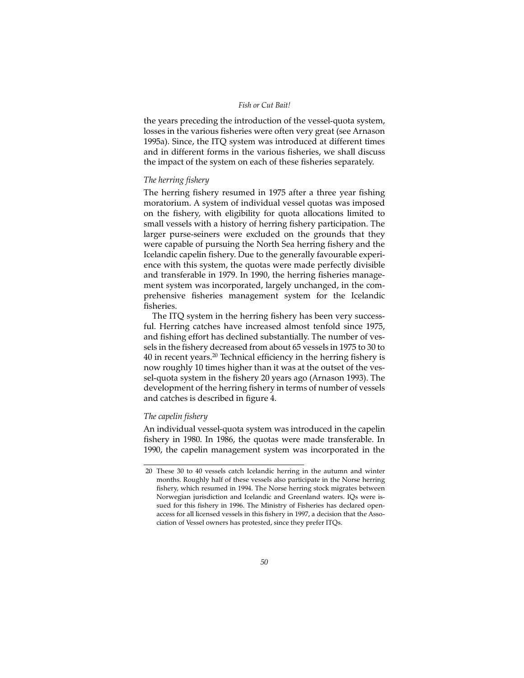the years preceding the introduction of the vessel-quota system, losses in the various fisheries were often very great (see Arnason 1995a). Since, the ITQ system was introduced at different times and in different forms in the various fisheries, we shall discuss the impact of the system on each of these fisheries separately.

## *The herring fishery*

The herring fishery resumed in 1975 after a three year fishing moratorium. A system of individual vessel quotas was imposed on the fishery, with eligibility for quota allocations limited to small vessels with a history of herring fishery participation. The larger purse-seiners were excluded on the grounds that they were capable of pursuing the North Sea herring fishery and the Icelandic capelin fishery. Due to the generally favourable experience with this system, the quotas were made perfectly divisible and transferable in 1979. In 1990, the herring fisheries management system was incorporated, largely unchanged, in the comprehensive fisheries management system for the Icelandic fisheries.

The ITQ system in the herring fishery has been very successful. Herring catches have increased almost tenfold since 1975, and fishing effort has declined substantially. The number of vessels in the fishery decreased from about 65 vessels in 1975 to 30 to 40 in recent years.<sup>20</sup> Technical efficiency in the herring fishery is now roughly 10 times higher than it was at the outset of the vessel-quota system in the fishery 20 years ago (Arnason 1993). The development of the herring fishery in terms of number of vessels and catches is described in figure 4.

# *The capelin fishery*

An individual vessel-quota system was introduced in the capelin fishery in 1980. In 1986, the quotas were made transferable. In 1990, the capelin management system was incorporated in the

<sup>20</sup> These 30 to 40 vessels catch Icelandic herring in the autumn and winter months. Roughly half of these vessels also participate in the Norse herring fishery, which resumed in 1994. The Norse herring stock migrates between Norwegian jurisdiction and Icelandic and Greenland waters. IQs were issued for this fishery in 1996. The Ministry of Fisheries has declared openaccess for all licensed vessels in this fishery in 1997, a decision that the Association of Vessel owners has protested, since they prefer ITQs.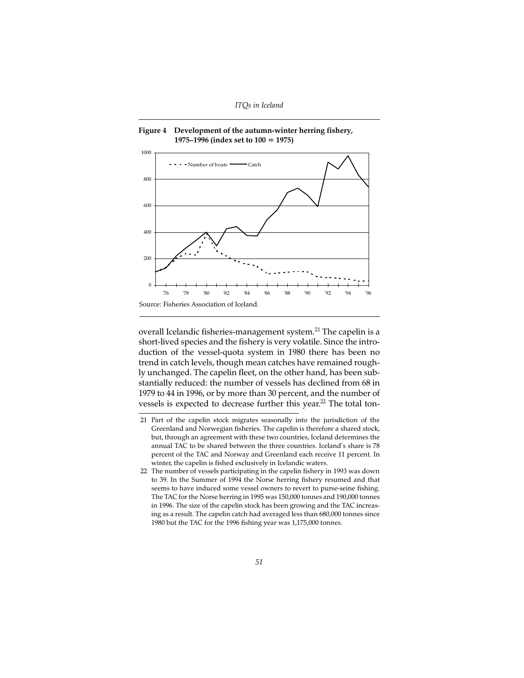

**Figure 4 Development of the autumn-winter herring fishery, 1975–1996 (index set to 100 = 1975)**

overall Icelandic fisheries-management system.<sup>21</sup> The capelin is a short-lived species and the fishery is very volatile. Since the introduction of the vessel-quota system in 1980 there has been no trend in catch levels, though mean catches have remained roughly unchanged. The capelin fleet, on the other hand, has been substantially reduced: the number of vessels has declined from 68 in 1979 to 44 in 1996, or by more than 30 percent, and the number of vessels is expected to decrease further this year.<sup>22</sup> The total ton-

<sup>21</sup> Part of the capelin stock migrates seasonally into the jurisdiction of the Greenland and Norwegian fisheries. The capelin is therefore a shared stock, but, through an agreement with these two countries, Iceland determines the annual TAC to be shared between the three countries. Iceland's share is 78 percent of the TAC and Norway and Greenland each receive 11 percent. In winter, the capelin is fished exclusively in Icelandic waters.

<sup>22</sup> The number of vessels participating in the capelin fishery in 1993 was down to 39. In the Summer of 1994 the Norse herring fishery resumed and that seems to have induced some vessel owners to revert to purse-seine fishing. The TAC for the Norse herring in 1995 was 150,000 tonnes and 190,000 tonnes in 1996. The size of the capelin stock has been growing and the TAC increasing as a result. The capelin catch had averaged less than 680,000 tonnes since 1980 but the TAC for the 1996 fishing year was 1,175,000 tonnes.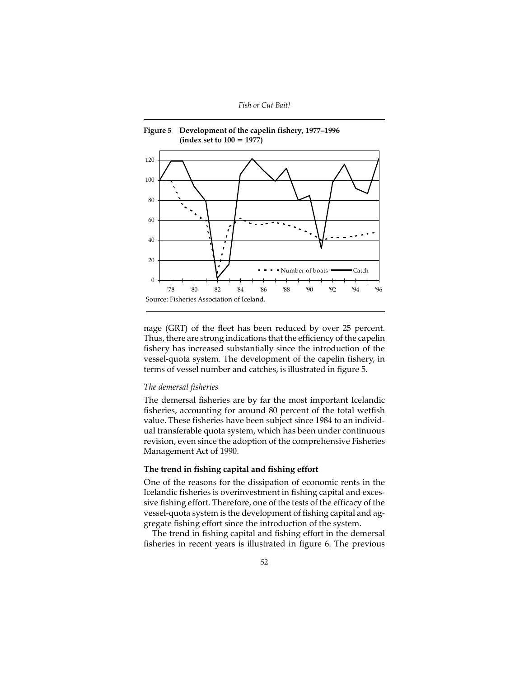

nage (GRT) of the fleet has been reduced by over 25 percent. Thus, there are strong indications that the efficiency of the capelin fishery has increased substantially since the introduction of the vessel-quota system. The development of the capelin fishery, in terms of vessel number and catches, is illustrated in figure 5.

## *The demersal fisheries*

The demersal fisheries are by far the most important Icelandic fisheries, accounting for around 80 percent of the total wetfish value. These fisheries have been subject since 1984 to an individual transferable quota system, which has been under continuous revision, even since the adoption of the comprehensive Fisheries Management Act of 1990.

## **The trend in fishing capital and fishing effort**

One of the reasons for the dissipation of economic rents in the Icelandic fisheries is overinvestment in fishing capital and excessive fishing effort. Therefore, one of the tests of the efficacy of the vessel-quota system is the development of fishing capital and aggregate fishing effort since the introduction of the system.

The trend in fishing capital and fishing effort in the demersal fisheries in recent years is illustrated in figure 6. The previous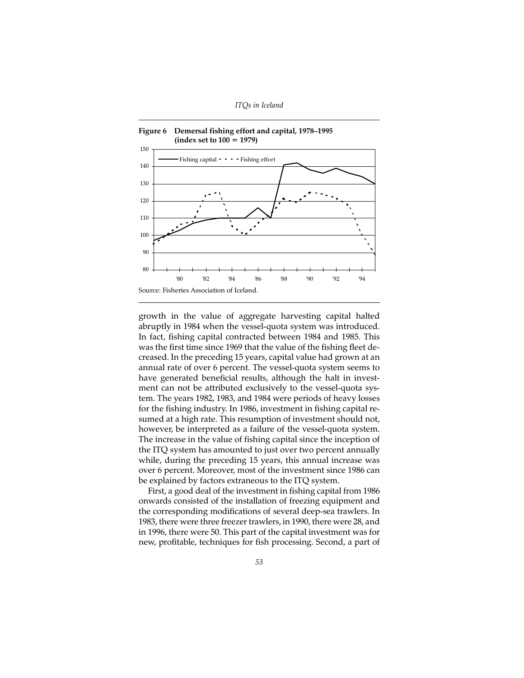

growth in the value of aggregate harvesting capital halted abruptly in 1984 when the vessel-quota system was introduced. In fact, fishing capital contracted between 1984 and 1985. This was the first time since 1969 that the value of the fishing fleet decreased. In the preceding 15 years, capital value had grown at an annual rate of over 6 percent. The vessel-quota system seems to have generated beneficial results, although the halt in investment can not be attributed exclusively to the vessel-quota system. The years 1982, 1983, and 1984 were periods of heavy losses for the fishing industry. In 1986, investment in fishing capital resumed at a high rate. This resumption of investment should not, however, be interpreted as a failure of the vessel-quota system. The increase in the value of fishing capital since the inception of the ITQ system has amounted to just over two percent annually while, during the preceding 15 years, this annual increase was over 6 percent. Moreover, most of the investment since 1986 can be explained by factors extraneous to the ITQ system.

First, a good deal of the investment in fishing capital from 1986 onwards consisted of the installation of freezing equipment and the corresponding modifications of several deep-sea trawlers. In 1983, there were three freezer trawlers, in 1990, there were 28, and in 1996, there were 50. This part of the capital investment was for new, profitable, techniques for fish processing. Second, a part of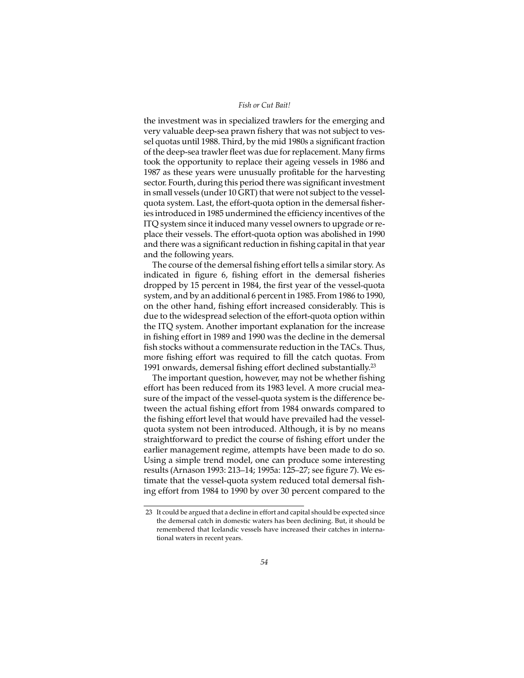the investment was in specialized trawlers for the emerging and very valuable deep-sea prawn fishery that was not subject to vessel quotas until 1988. Third, by the mid 1980s a significant fraction of the deep-sea trawler fleet was due for replacement. Many firms took the opportunity to replace their ageing vessels in 1986 and 1987 as these years were unusually profitable for the harvesting sector. Fourth, during this period there was significant investment in small vessels (under 10 GRT) that were not subject to the vesselquota system. Last, the effort-quota option in the demersal fisheries introduced in 1985 undermined the efficiency incentives of the ITQ system since it induced many vessel owners to upgrade or replace their vessels. The effort-quota option was abolished in 1990 and there was a significant reduction in fishing capital in that year and the following years.

The course of the demersal fishing effort tells a similar story. As indicated in figure 6, fishing effort in the demersal fisheries dropped by 15 percent in 1984, the first year of the vessel-quota system, and by an additional 6 percent in 1985. From 1986 to 1990, on the other hand, fishing effort increased considerably. This is due to the widespread selection of the effort-quota option within the ITQ system. Another important explanation for the increase in fishing effort in 1989 and 1990 was the decline in the demersal fish stocks without a commensurate reduction in the TACs. Thus, more fishing effort was required to fill the catch quotas. From 1991 onwards, demersal fishing effort declined substantially.<sup>23</sup>

The important question, however, may not be whether fishing effort has been reduced from its 1983 level. A more crucial measure of the impact of the vessel-quota system is the difference between the actual fishing effort from 1984 onwards compared to the fishing effort level that would have prevailed had the vesselquota system not been introduced. Although, it is by no means straightforward to predict the course of fishing effort under the earlier management regime, attempts have been made to do so. Using a simple trend model, one can produce some interesting results (Arnason 1993: 213–14; 1995a: 125–27; see figure 7). We estimate that the vessel-quota system reduced total demersal fishing effort from 1984 to 1990 by over 30 percent compared to the

<sup>23</sup> It could be argued that a decline in effort and capital should be expected since the demersal catch in domestic waters has been declining. But, it should be remembered that Icelandic vessels have increased their catches in international waters in recent years.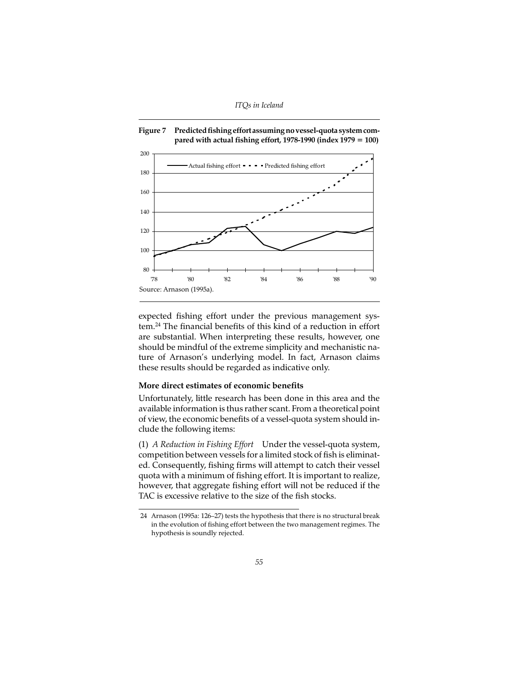



expected fishing effort under the previous management system.24 The financial benefits of this kind of a reduction in effort are substantial. When interpreting these results, however, one should be mindful of the extreme simplicity and mechanistic nature of Arnason's underlying model. In fact, Arnason claims these results should be regarded as indicative only.

# **More direct estimates of economic benefits**

Unfortunately, little research has been done in this area and the available information is thus rather scant. From a theoretical point of view, the economic benefits of a vessel-quota system should include the following items:

(1) *A Reduction in Fishing Effort* Under the vessel-quota system, competition between vessels for a limited stock of fish is eliminated. Consequently, fishing firms will attempt to catch their vessel quota with a minimum of fishing effort. It is important to realize, however, that aggregate fishing effort will not be reduced if the TAC is excessive relative to the size of the fish stocks.

<sup>24</sup> Arnason (1995a: 126–27) tests the hypothesis that there is no structural break in the evolution of fishing effort between the two management regimes. The hypothesis is soundly rejected.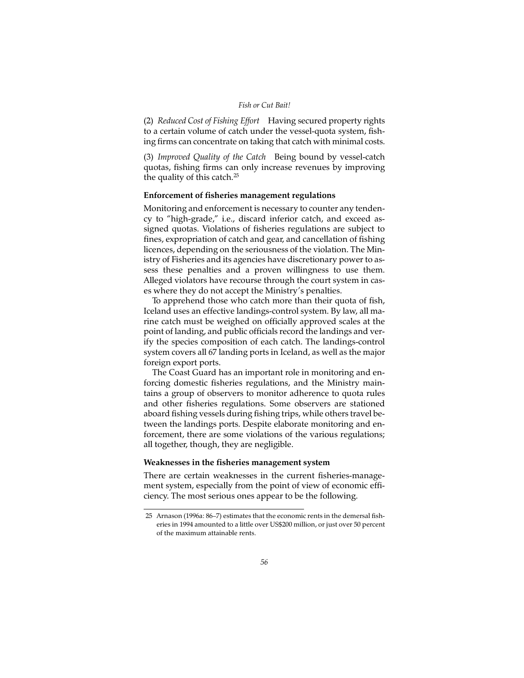(2) *Reduced Cost of Fishing Effort* Having secured property rights to a certain volume of catch under the vessel-quota system, fishing firms can concentrate on taking that catch with minimal costs.

(3) *Improved Quality of the Catch* Being bound by vessel-catch quotas, fishing firms can only increase revenues by improving the quality of this catch.<sup>25</sup>

# **Enforcement of fisheries management regulations**

Monitoring and enforcement is necessary to counter any tendency to "high-grade," i.e., discard inferior catch, and exceed assigned quotas. Violations of fisheries regulations are subject to fines, expropriation of catch and gear, and cancellation of fishing licences, depending on the seriousness of the violation. The Ministry of Fisheries and its agencies have discretionary power to assess these penalties and a proven willingness to use them. Alleged violators have recourse through the court system in cases where they do not accept the Ministry's penalties.

To apprehend those who catch more than their quota of fish, Iceland uses an effective landings-control system. By law, all marine catch must be weighed on officially approved scales at the point of landing, and public officials record the landings and verify the species composition of each catch. The landings-control system covers all 67 landing ports in Iceland, as well as the major foreign export ports.

The Coast Guard has an important role in monitoring and enforcing domestic fisheries regulations, and the Ministry maintains a group of observers to monitor adherence to quota rules and other fisheries regulations. Some observers are stationed aboard fishing vessels during fishing trips, while others travel between the landings ports. Despite elaborate monitoring and enforcement, there are some violations of the various regulations; all together, though, they are negligible.

# **Weaknesses in the fisheries management system**

There are certain weaknesses in the current fisheries-management system, especially from the point of view of economic efficiency. The most serious ones appear to be the following.

<sup>25</sup> Arnason (1996a: 86–7) estimates that the economic rents in the demersal fisheries in 1994 amounted to a little over US\$200 million, or just over 50 percent of the maximum attainable rents.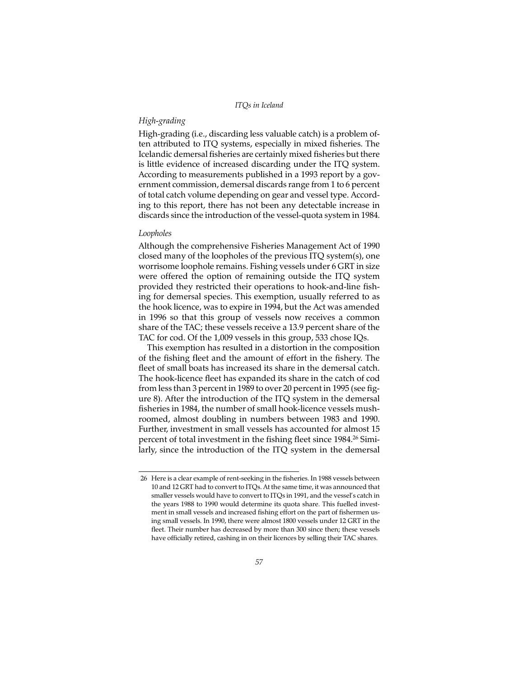## *High-grading*

High-grading (i.e., discarding less valuable catch) is a problem often attributed to ITQ systems, especially in mixed fisheries. The Icelandic demersal fisheries are certainly mixed fisheries but there is little evidence of increased discarding under the ITQ system. According to measurements published in a 1993 report by a government commission, demersal discards range from 1 to 6 percent of total catch volume depending on gear and vessel type. According to this report, there has not been any detectable increase in discards since the introduction of the vessel-quota system in 1984.

## *Loopholes*

Although the comprehensive Fisheries Management Act of 1990 closed many of the loopholes of the previous ITQ system(s), one worrisome loophole remains. Fishing vessels under 6 GRT in size were offered the option of remaining outside the ITQ system provided they restricted their operations to hook-and-line fishing for demersal species. This exemption, usually referred to as the hook licence, was to expire in 1994, but the Act was amended in 1996 so that this group of vessels now receives a common share of the TAC; these vessels receive a 13.9 percent share of the TAC for cod. Of the 1,009 vessels in this group, 533 chose IQs.

This exemption has resulted in a distortion in the composition of the fishing fleet and the amount of effort in the fishery. The fleet of small boats has increased its share in the demersal catch. The hook-licence fleet has expanded its share in the catch of cod from less than 3 percent in 1989 to over 20 percent in 1995 (see figure 8). After the introduction of the ITQ system in the demersal fisheries in 1984, the number of small hook-licence vessels mushroomed, almost doubling in numbers between 1983 and 1990. Further, investment in small vessels has accounted for almost 15 percent of total investment in the fishing fleet since 1984.<sup>26</sup> Similarly, since the introduction of the ITQ system in the demersal

<sup>26</sup> Here is a clear example of rent-seeking in the fisheries. In 1988 vessels between 10 and 12 GRT had to convert to ITQs. At the same time, it was announced that smaller vessels would have to convert to ITQs in 1991, and the vessel's catch in the years 1988 to 1990 would determine its quota share. This fuelled investment in small vessels and increased fishing effort on the part of fishermen using small vessels. In 1990, there were almost 1800 vessels under 12 GRT in the fleet. Their number has decreased by more than 300 since then; these vessels have officially retired, cashing in on their licences by selling their TAC shares.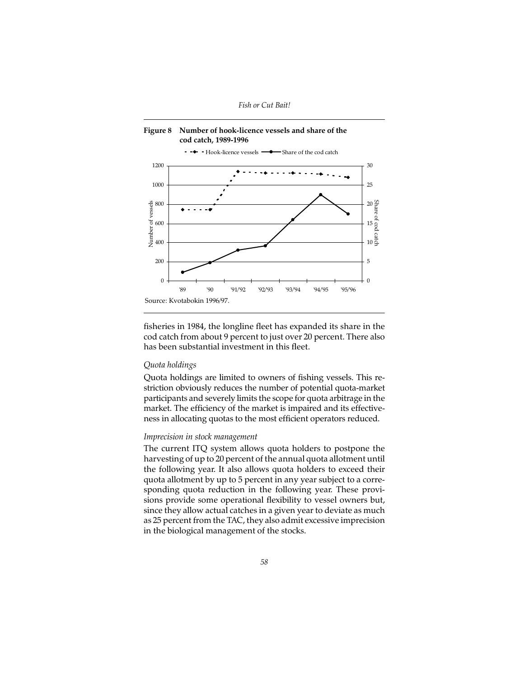



fisheries in 1984, the longline fleet has expanded its share in the cod catch from about 9 percent to just over 20 percent. There also has been substantial investment in this fleet.

# *Quota holdings*

Quota holdings are limited to owners of fishing vessels. This restriction obviously reduces the number of potential quota-market participants and severely limits the scope for quota arbitrage in the market. The efficiency of the market is impaired and its effectiveness in allocating quotas to the most efficient operators reduced.

# *Imprecision in stock management*

The current ITQ system allows quota holders to postpone the harvesting of up to 20 percent of the annual quota allotment until the following year. It also allows quota holders to exceed their quota allotment by up to 5 percent in any year subject to a corresponding quota reduction in the following year. These provisions provide some operational flexibility to vessel owners but, since they allow actual catches in a given year to deviate as much as 25 percent from the TAC, they also admit excessive imprecision in the biological management of the stocks.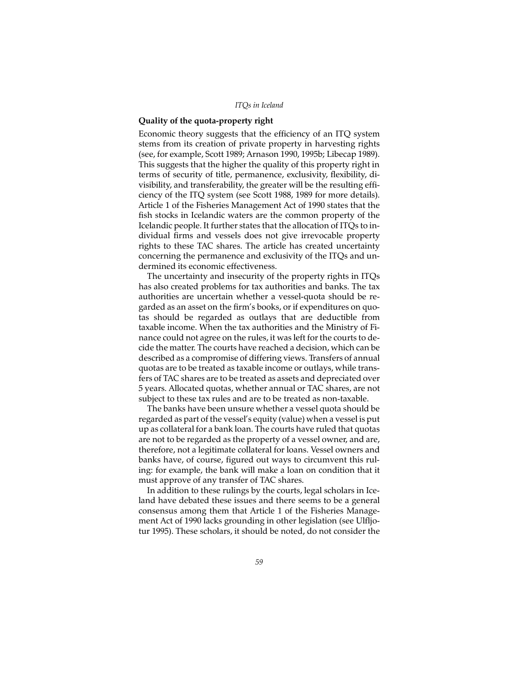# **Quality of the quota-property right**

Economic theory suggests that the efficiency of an ITQ system stems from its creation of private property in harvesting rights (see, for example, Scott 1989; Arnason 1990, 1995b; Libecap 1989). This suggests that the higher the quality of this property right in terms of security of title, permanence, exclusivity, flexibility, divisibility, and transferability, the greater will be the resulting efficiency of the ITQ system (see Scott 1988, 1989 for more details). Article 1 of the Fisheries Management Act of 1990 states that the fish stocks in Icelandic waters are the common property of the Icelandic people. It further states that the allocation of ITQs to individual firms and vessels does not give irrevocable property rights to these TAC shares. The article has created uncertainty concerning the permanence and exclusivity of the ITQs and undermined its economic effectiveness.

The uncertainty and insecurity of the property rights in ITQs has also created problems for tax authorities and banks. The tax authorities are uncertain whether a vessel-quota should be regarded as an asset on the firm's books, or if expenditures on quotas should be regarded as outlays that are deductible from taxable income. When the tax authorities and the Ministry of Finance could not agree on the rules, it was left for the courts to decide the matter. The courts have reached a decision, which can be described as a compromise of differing views. Transfers of annual quotas are to be treated as taxable income or outlays, while transfers of TAC shares are to be treated as assets and depreciated over 5 years. Allocated quotas, whether annual or TAC shares, are not subject to these tax rules and are to be treated as non-taxable.

The banks have been unsure whether a vessel quota should be regarded as part of the vessel's equity (value) when a vessel is put up as collateral for a bank loan. The courts have ruled that quotas are not to be regarded as the property of a vessel owner, and are, therefore, not a legitimate collateral for loans. Vessel owners and banks have, of course, figured out ways to circumvent this ruling: for example, the bank will make a loan on condition that it must approve of any transfer of TAC shares.

In addition to these rulings by the courts, legal scholars in Iceland have debated these issues and there seems to be a general consensus among them that Article 1 of the Fisheries Management Act of 1990 lacks grounding in other legislation (see Ulfljotur 1995). These scholars, it should be noted, do not consider the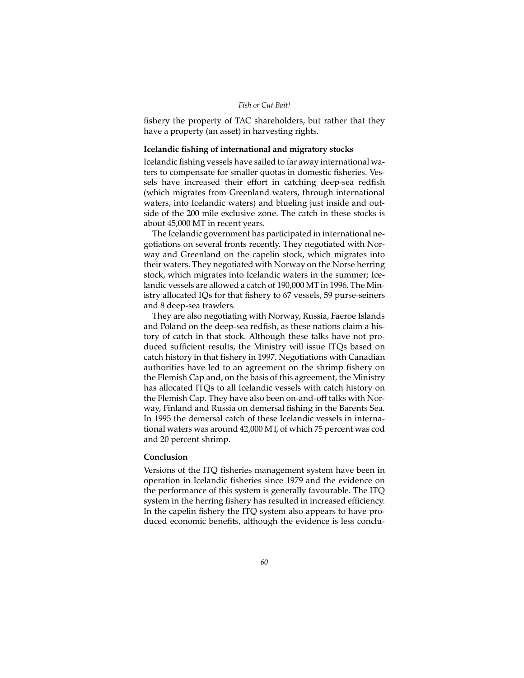fishery the property of TAC shareholders, but rather that they have a property (an asset) in harvesting rights.

# **Icelandic fishing of international and migratory stocks**

Icelandic fishing vessels have sailed to far away international waters to compensate for smaller quotas in domestic fisheries. Vessels have increased their effort in catching deep-sea redfish (which migrates from Greenland waters, through international waters, into Icelandic waters) and blueling just inside and outside of the 200 mile exclusive zone. The catch in these stocks is about 45,000 MT in recent years.

The Icelandic government has participated in international negotiations on several fronts recently. They negotiated with Norway and Greenland on the capelin stock, which migrates into their waters. They negotiated with Norway on the Norse herring stock, which migrates into Icelandic waters in the summer; Icelandic vessels are allowed a catch of 190,000 MT in 1996. The Ministry allocated IQs for that fishery to 67 vessels, 59 purse-seiners and 8 deep-sea trawlers.

They are also negotiating with Norway, Russia, Faeroe Islands and Poland on the deep-sea redfish, as these nations claim a history of catch in that stock. Although these talks have not produced sufficient results, the Ministry will issue ITQs based on catch history in that fishery in 1997. Negotiations with Canadian authorities have led to an agreement on the shrimp fishery on the Flemish Cap and, on the basis of this agreement, the Ministry has allocated ITQs to all Icelandic vessels with catch history on the Flemish Cap. They have also been on-and-off talks with Norway, Finland and Russia on demersal fishing in the Barents Sea. In 1995 the demersal catch of these Icelandic vessels in international waters was around 42,000 MT, of which 75 percent was cod and 20 percent shrimp.

# **Conclusion**

Versions of the ITQ fisheries management system have been in operation in Icelandic fisheries since 1979 and the evidence on the performance of this system is generally favourable. The ITQ system in the herring fishery has resulted in increased efficiency. In the capelin fishery the ITQ system also appears to have produced economic benefits, although the evidence is less conclu-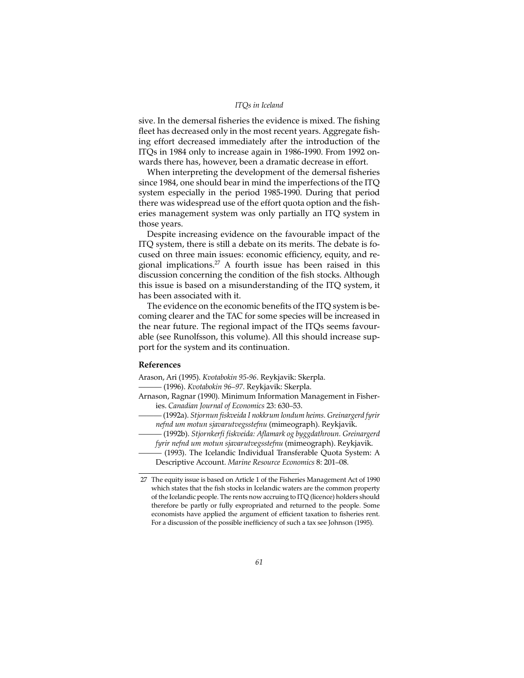#### *ITQs in Iceland*

sive. In the demersal fisheries the evidence is mixed. The fishing fleet has decreased only in the most recent years. Aggregate fishing effort decreased immediately after the introduction of the ITQs in 1984 only to increase again in 1986-1990. From 1992 onwards there has, however, been a dramatic decrease in effort.

When interpreting the development of the demersal fisheries since 1984, one should bear in mind the imperfections of the ITQ system especially in the period 1985-1990. During that period there was widespread use of the effort quota option and the fisheries management system was only partially an ITQ system in those years.

Despite increasing evidence on the favourable impact of the ITQ system, there is still a debate on its merits. The debate is focused on three main issues: economic efficiency, equity, and regional implications.27 A fourth issue has been raised in this discussion concerning the condition of the fish stocks. Although this issue is based on a misunderstanding of the ITQ system, it has been associated with it.

The evidence on the economic benefits of the ITQ system is becoming clearer and the TAC for some species will be increased in the near future. The regional impact of the ITQs seems favourable (see Runolfsson, this volume). All this should increase support for the system and its continuation.

## **References**

Arason, Ari (1995). *Kvotabokin 95-96*. Reykjavik: Skerpla.

——— (1996). *Kvotabokin 96–97*. Reykjavik: Skerpla.

Arnason, Ragnar (1990). Minimum Information Management in Fisheries. *Canadian Journal of Economics* 23: 630–53.

——— (1992a). *Stjornun fiskveida I nokkrum londum heims. Greinargerd fyrir nefnd um motun sjavarutvegsstefnu* (mimeograph). Reykjavik.

——— (1992b). *Stjornkerfi fiskveida: Aflamark og byggdathroun. Greinargerd fyrir nefnd um motun sjavarutvegsstefnu* (mimeograph). Reykjavik.

——— (1993). The Icelandic Individual Transferable Quota System: A Descriptive Account. *Marine Resource Economics* 8: 201–08.

27 The equity issue is based on Article 1 of the Fisheries Management Act of 1990 which states that the fish stocks in Icelandic waters are the common property of the Icelandic people. The rents now accruing to ITQ (licence) holders should therefore be partly or fully expropriated and returned to the people. Some economists have applied the argument of efficient taxation to fisheries rent. For a discussion of the possible inefficiency of such a tax see Johnson (1995).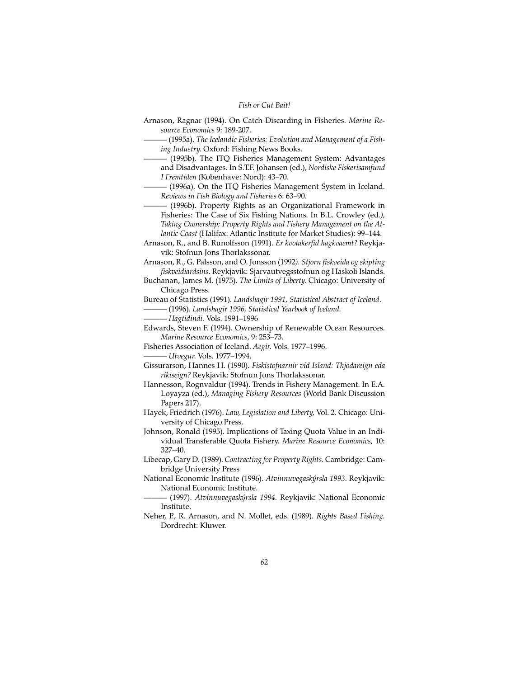- Arnason, Ragnar (1994). On Catch Discarding in Fisheries. *Marine Resource Economics* 9: 189-207.
	- ——— (1995a). *The Icelandic Fisheries: Evolution and Management of a Fishing Industry*. Oxford: Fishing News Books.
- ——— (1995b). The ITQ Fisheries Management System: Advantages and Disadvantages. In S.T.F. Johansen (ed.), *Nordiske Fiskerisamfund I Fremtiden* (Kobenhave: Nord): 43–70.
- ——— (1996a). On the ITQ Fisheries Management System in Iceland. *Reviews in Fish Biology and Fisheries* 6: 63–90.
- ——— (1996b). Property Rights as an Organizational Framework in Fisheries: The Case of Six Fishing Nations. In B.L. Crowley (ed*.), Taking Ownership; Property Rights and Fishery Management on the Atlantic Coast* (Halifax: Atlantic Institute for Market Studies): 99–144.
- Arnason, R., and B. Runolfsson (1991). *Er kvotakerfid hagkvaemt?* Reykjavik: Stofnun Jons Thorlakssonar.
- Arnason, R., G. Palsson, and O. Jonsson (1992*). Stjorn fiskveida og skipting fiskveidiardsins*. Reykjavik: Sjarvautvegsstofnun og Haskoli Islands.
- Buchanan, James M. (1975). *The Limits of Liberty*. Chicago: University of Chicago Press.
- Bureau of Statistics (1991). *Landshagir 1991, Statistical Abstract of Iceland*.

——— (1996). *Landshagir 1996, Statistical Yearbook of Iceland*.

——— *Hagtidindi.* Vols. 1991–1996

- Edwards, Steven F. (1994). Ownership of Renewable Ocean Resources. *Marine Resource Economics*, 9: 253–73.
- Fisheries Association of Iceland. *Aegir*. Vols. 1977–1996. ——— *Utvegur*. Vols. 1977–1994.
- Gissurarson, Hannes H. (1990). *Fiskistofnarnir vid Island: Thjodareign eda rikiseign?* Reykjavik: Stofnun Jons Thorlakssonar.
- Hannesson, Rognvaldur (1994). Trends in Fishery Management. In E.A. Loyayza (ed.), *Managing Fishery Resources* (World Bank Discussion Papers 217).
- Hayek, Friedrich (1976). *Law, Legislation and Liberty,* Vol. 2. Chicago: University of Chicago Press.
- Johnson, Ronald (1995). Implications of Taxing Quota Value in an Individual Transferable Quota Fishery. *Marine Resource Economics*, 10: 327–40.
- Libecap, Gary D. (1989). *Contracting for Property Rights*. Cambridge: Cambridge University Press
- National Economic Institute (1996). *Atvinnuvegaskýrsla 1993*. Reykjavik: National Economic Institute.
	- ——— (1997). *Atvinnuvegaskýrsla 1994.* Reykjavik: National Economic Institute.
- Neher, P., R. Arnason, and N. Mollet, eds. (1989). *Rights Based Fishing.* Dordrecht: Kluwer.